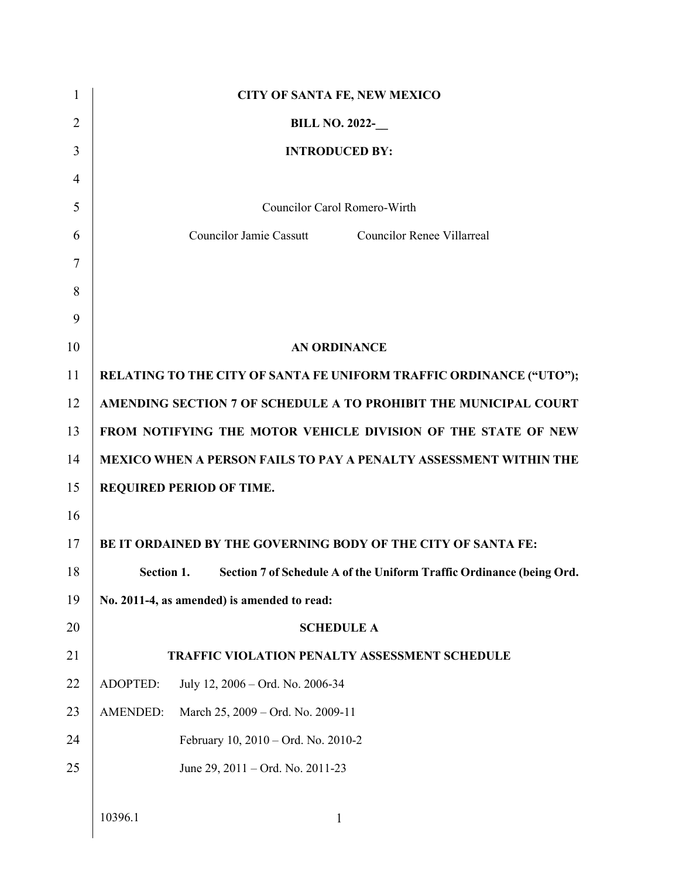| 1              |                 | <b>CITY OF SANTA FE, NEW MEXICO</b>                                      |
|----------------|-----------------|--------------------------------------------------------------------------|
| $\overline{2}$ |                 | <b>BILL NO. 2022-</b>                                                    |
| 3              |                 | <b>INTRODUCED BY:</b>                                                    |
| $\overline{4}$ |                 |                                                                          |
| 5              |                 | Councilor Carol Romero-Wirth                                             |
| 6              |                 | <b>Councilor Jamie Cassutt</b><br><b>Councilor Renee Villarreal</b>      |
| 7              |                 |                                                                          |
| 8              |                 |                                                                          |
| 9              |                 |                                                                          |
| 10             |                 | <b>AN ORDINANCE</b>                                                      |
| 11             |                 | RELATING TO THE CITY OF SANTA FE UNIFORM TRAFFIC ORDINANCE ("UTO");      |
| 12             |                 | AMENDING SECTION 7 OF SCHEDULE A TO PROHIBIT THE MUNICIPAL COURT         |
| 13             |                 | FROM NOTIFYING THE MOTOR VEHICLE DIVISION OF THE STATE OF NEW            |
| 14             |                 | <b>MEXICO WHEN A PERSON FAILS TO PAY A PENALTY ASSESSMENT WITHIN THE</b> |
| 15             |                 | REQUIRED PERIOD OF TIME.                                                 |
| 16             |                 |                                                                          |
| 17             |                 | BE IT ORDAINED BY THE GOVERNING BODY OF THE CITY OF SANTA FE:            |
| 18             | Section 1.      | Section 7 of Schedule A of the Uniform Traffic Ordinance (being Ord.     |
| 19             |                 | No. 2011-4, as amended) is amended to read:                              |
| 20             |                 | <b>SCHEDULE A</b>                                                        |
| 21             |                 | TRAFFIC VIOLATION PENALTY ASSESSMENT SCHEDULE                            |
| 22             | ADOPTED:        | July 12, 2006 - Ord. No. 2006-34                                         |
| 23             | <b>AMENDED:</b> | March 25, 2009 - Ord. No. 2009-11                                        |
| 24             |                 | February 10, 2010 – Ord. No. 2010-2                                      |
| 25             |                 | June 29, 2011 – Ord. No. 2011-23                                         |
|                |                 |                                                                          |
|                | 10396.1         | 1                                                                        |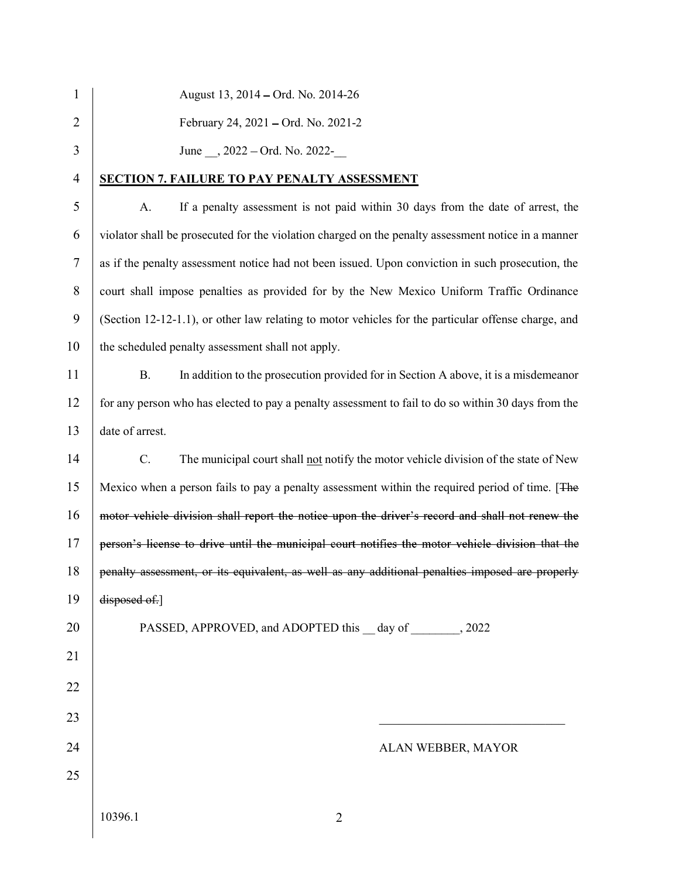| $\mathbf{1}$     | August 13, 2014 – Ord. No. 2014-26                                                                  |  |  |  |  |
|------------------|-----------------------------------------------------------------------------------------------------|--|--|--|--|
| 2                | February 24, 2021 – Ord. No. 2021-2                                                                 |  |  |  |  |
| 3                | June , 2022 – Ord. No. 2022-                                                                        |  |  |  |  |
| 4                | <b>SECTION 7. FAILURE TO PAY PENALTY ASSESSMENT</b>                                                 |  |  |  |  |
| 5                | If a penalty assessment is not paid within 30 days from the date of arrest, the<br>A.               |  |  |  |  |
| 6                | violator shall be prosecuted for the violation charged on the penalty assessment notice in a manner |  |  |  |  |
| $\boldsymbol{7}$ | as if the penalty assessment notice had not been issued. Upon conviction in such prosecution, the   |  |  |  |  |
| $8\,$            | court shall impose penalties as provided for by the New Mexico Uniform Traffic Ordinance            |  |  |  |  |
| 9                | (Section 12-12-1.1), or other law relating to motor vehicles for the particular offense charge, and |  |  |  |  |
| 10               | the scheduled penalty assessment shall not apply.                                                   |  |  |  |  |
| 11               | In addition to the prosecution provided for in Section A above, it is a misdemean or<br><b>B.</b>   |  |  |  |  |
| 12               | for any person who has elected to pay a penalty assessment to fail to do so within 30 days from the |  |  |  |  |
| 13               | date of arrest.                                                                                     |  |  |  |  |
| 14               | C.<br>The municipal court shall not notify the motor vehicle division of the state of New           |  |  |  |  |
| 15               | Mexico when a person fails to pay a penalty assessment within the required period of time. [The     |  |  |  |  |
| 16               | motor vehicle division shall report the notice upon the driver's record and shall not renew the     |  |  |  |  |
| 17               | person's license to drive until the municipal court notifies the motor vehicle division that the    |  |  |  |  |
| 18               | penalty assessment, or its equivalent, as well as any additional penalties imposed are properly     |  |  |  |  |
| 19               | disposed of.]                                                                                       |  |  |  |  |
| 20               | PASSED, APPROVED, and ADOPTED this day of 2022                                                      |  |  |  |  |
| 21               |                                                                                                     |  |  |  |  |
| 22               |                                                                                                     |  |  |  |  |
| 23               |                                                                                                     |  |  |  |  |
| 24               | ALAN WEBBER, MAYOR                                                                                  |  |  |  |  |
| 25               |                                                                                                     |  |  |  |  |
|                  | 10396.1<br>$\overline{2}$                                                                           |  |  |  |  |